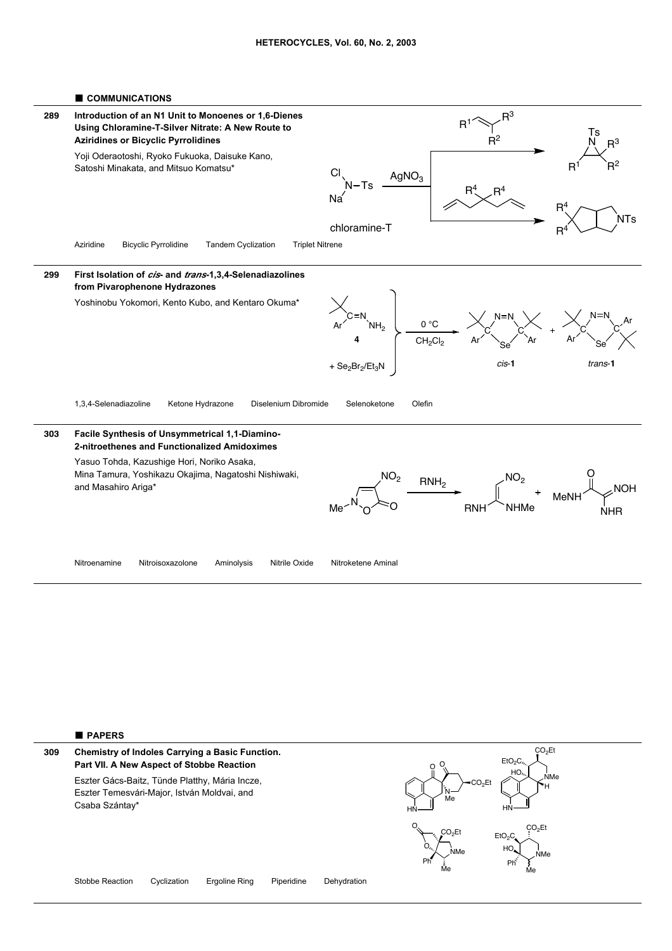



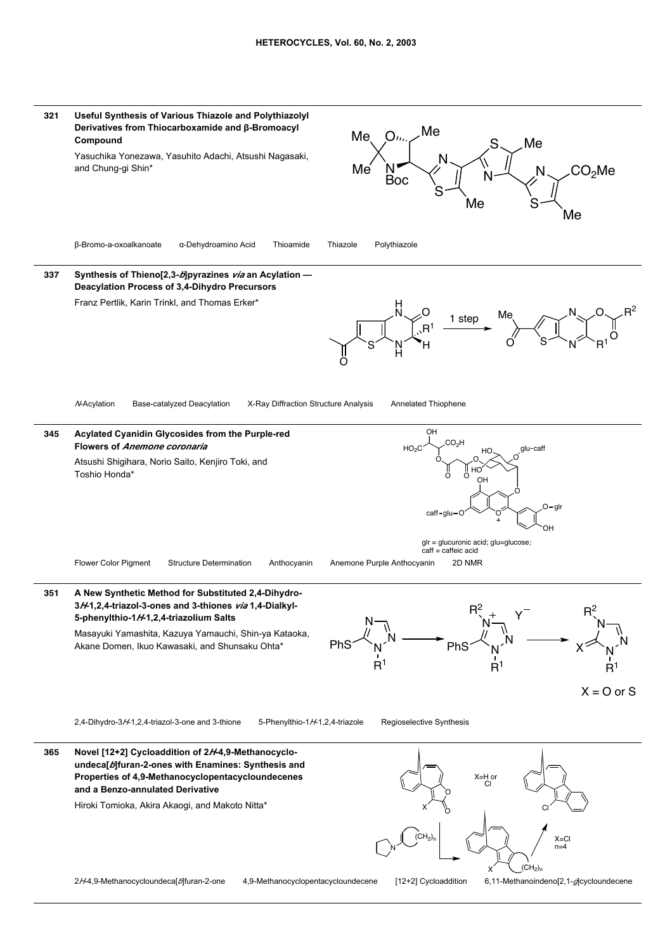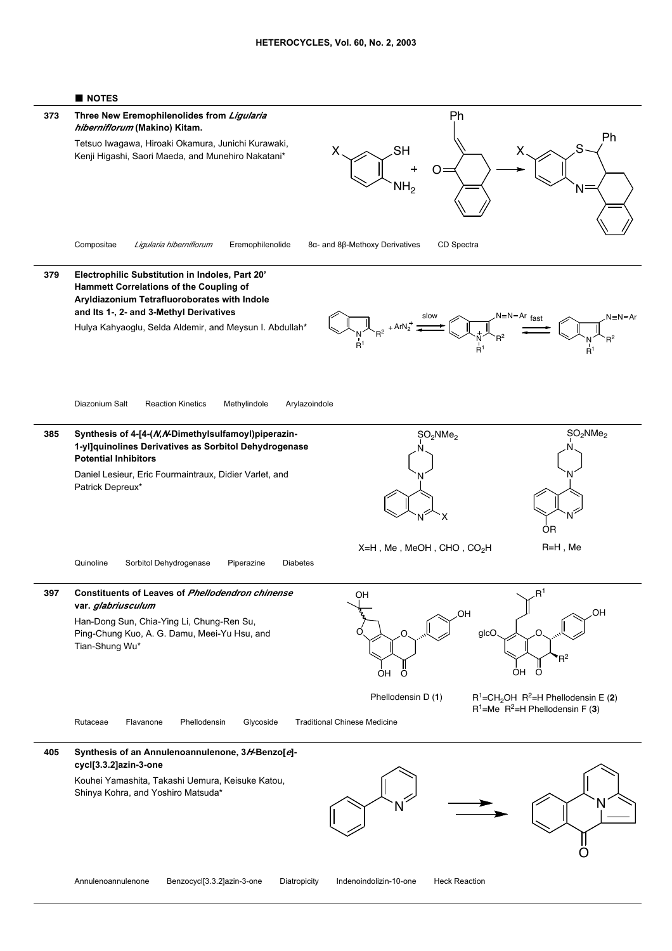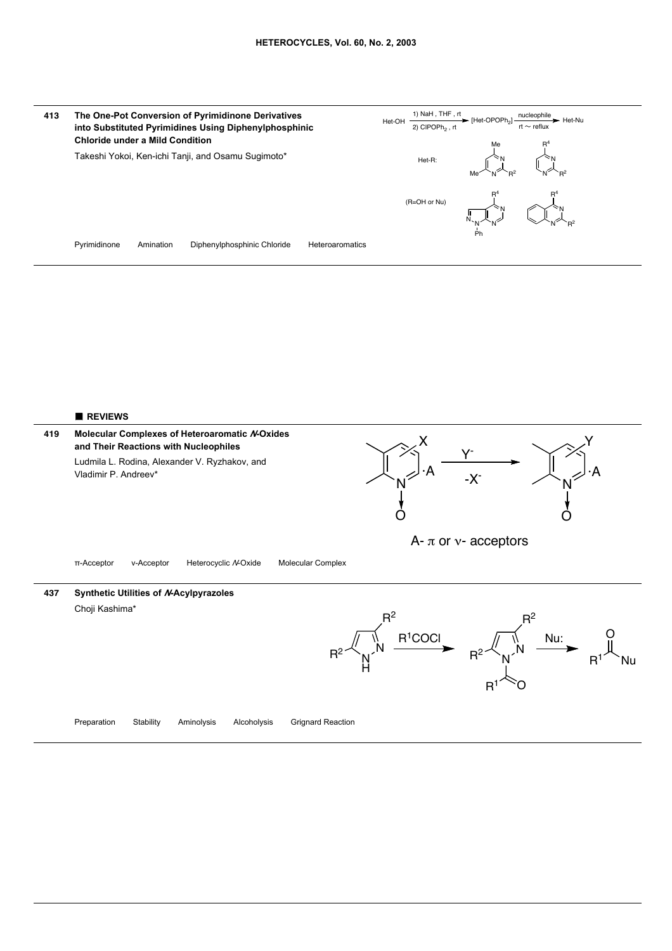

■ **REVIEWS**



H

 $R^1$   $\infty$